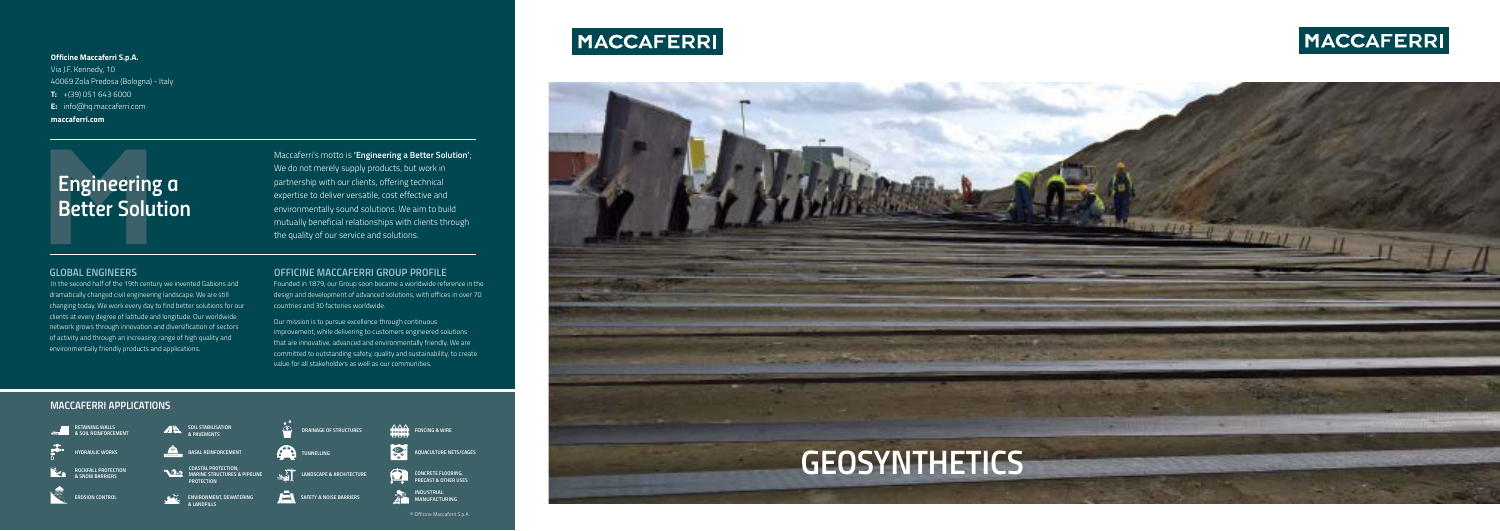

Maccaferri's motto is **'Engineering a Better Solution'**; We do not merely supply products, but work in partnership with our clients, offering technical expertise to deliver versatile, cost effective and environmentally sound solutions. We aim to build mutually beneficial relationships with clients through the quality of our service and solutions.

#### **Officine Maccaferri S.p.A.**

Via J.F. Kennedy, 10 40069 Zola Predosa (Bologna) - Italy **T:** +(39) 051 643 6000 **E:** info@hq.maccaferri.com **maccaferri.com**

# *Engineering a Better Solution*



# MACCAFERRI

© Officine Maccaferri S.p.A.



## *OFFICINE MACCAFERRI GROUP PROFILE*

Founded in 1879, our Group soon became a worldwide reference in the design and development of advanced solutions, with offices in over 70 countries and 30 factories worldwide.

Our mission is to pursue excellence through continuous improvement, while delivering to customers engineered solutions that are innovative, advanced and environmentally friendly. We are committed to outstanding safety, quality and sustainability, to create value for all stakeholders as well as our communities.

## *GLOBAL ENGINEERS*

 In the second half of the 19th century we invented Gabions and dramatically changed civil engineering landscape. We are still changing today. We work every day to find better solutions for our clients at every degree of latitude and longitude. Our worldwide network grows through innovation and diversification of sectors of activity and through an increasing range of high quality and environmentally friendly products and applications.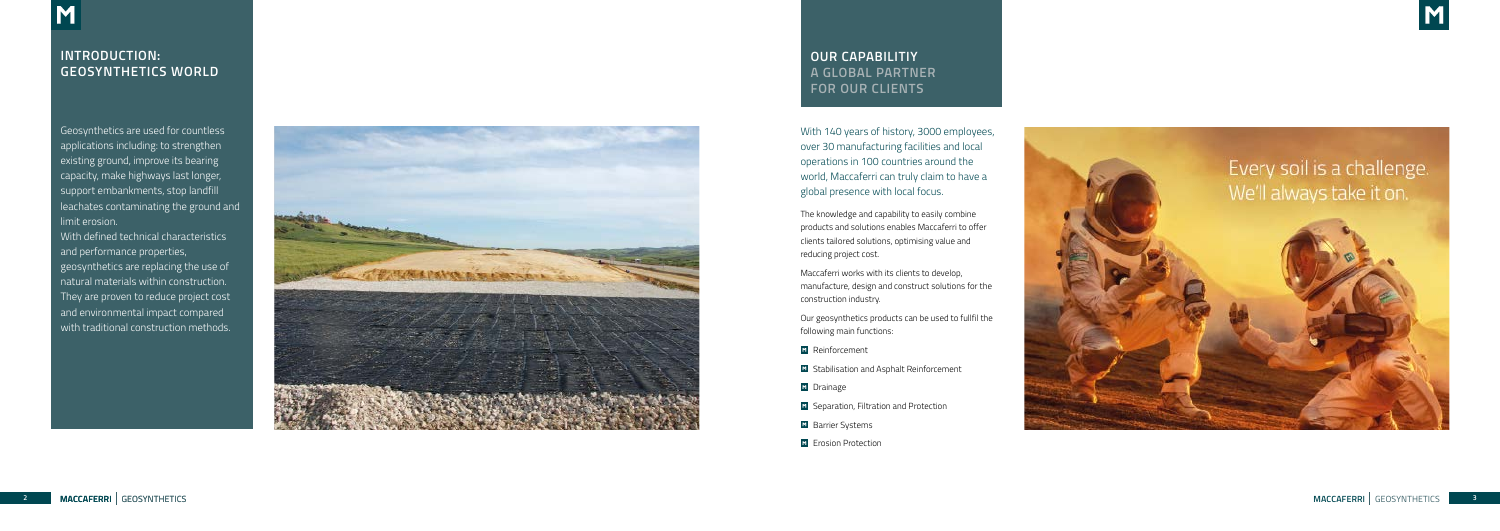With 140 years of history, 3000 employees, over 30 manufacturing facilities and local operations in 100 countries around the world, Maccaferri can truly claim to have a global presence with local focus.

The knowledge and capability to easily combine products and solutions enables Maccaferri to offer clients tailored solutions, optimising value and reducing project cost.

Maccaferri works with its clients to develop, manufacture, design and construct solutions for the construction industry.

Our geosynthetics products can be used to fullfil the following main functions:

- **M** Reinforcement
- **E** Stabilisation and Asphalt Reinforcement
- **M** Drainage
- **El** Separation, Filtration and Protection
- **Barrier Systems**
- **M** Erosion Protection



## **OUR CAPABILITIY A GLOBAL PARTNER FOR OUR CLIENTS**

Geosynthetics are used for countless applications including: to strengthen existing ground, improve its bearing capacity, make highways last longer, support embankments, stop landfill leachates contaminating the ground and limit erosion.

With defined technical characteristics and performance properties, geosynthetics are replacing the use of natural materials within construction. They are proven to reduce project cost and environmental impact compared with traditional construction methods.



## **INTRODUCTION: GEOSYNTHETICS WORLD**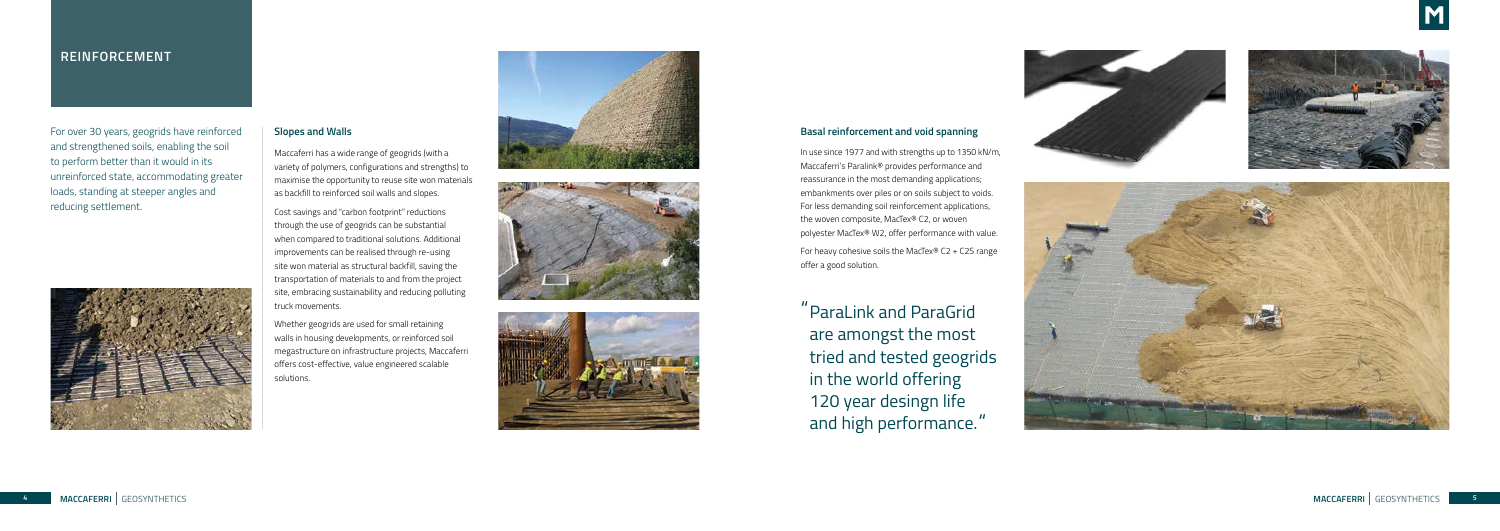**5 05**

## **REINFORCEMENT**

For over 30 years, geogrids have reinforced and strengthened soils, enabling the soil to perform better than it would in its unreinforced state, accommodating greater loads, standing at steeper angles and reducing settlement.



## **Slopes and Walls**

Maccaferri has a wide range of geogrids (with a variety of polymers, configurations and strengths) to maximise the opportunity to reuse site won materials as backfill to reinforced soil walls and slopes.

Cost savings and "carbon footprint" reductions through the use of geogrids can be substantial when compared to traditional solutions. Additional improvements can be realised through re-using site won material as structural backfill, saving the transportation of materials to and from the project site, embracing sustainability and reducing polluting truck movements.

Whether geogrids are used for small retaining walls in housing developments, or reinforced soil megastructure on infrastructure projects, Maccaferri offers cost-effective, value engineered scalable solutions.







## **Basal reinforcement and void spanning**

In use since 1977 and with strengths up to 1350 kN/m, Maccaferri's Paralink® provides performance and reassurance in the most demanding applications; embankments over piles or on soils subject to voids. For less demanding soil reinforcement applications, the woven composite, MacTex® C2, or woven polyester MacTex® W2, offer performance with value.

For heavy cohesive soils the MacTex® C2 + C2S range offer a good solution.

ParaLink and ParaGrid " are amongst the most tried and tested geogrids in the world offering 120 year desingn life and high performance. "





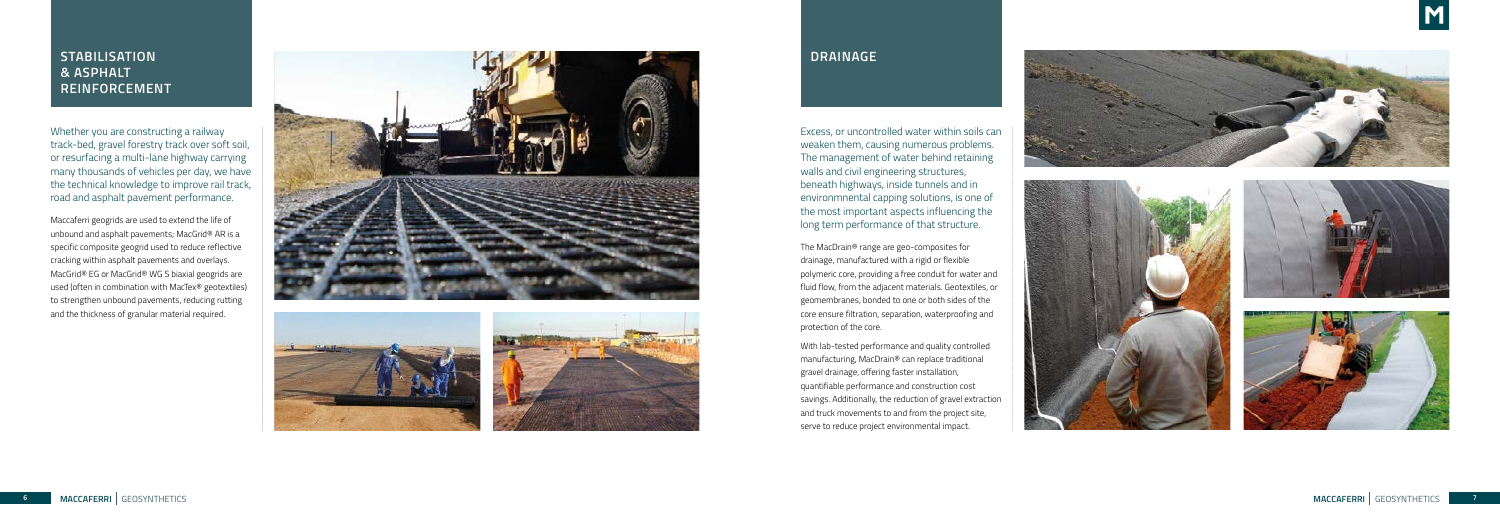## **STABILISATION & ASPHALT REINFORCEMENT**

Whether you are constructing a railway track-bed, gravel forestry track over soft soil, or resurfacing a multi-lane highway carrying many thousands of vehicles per day, we have the technical knowledge to improve rail track, road and asphalt pavement performance.

Maccaferri geogrids are used to extend the life of unbound and asphalt pavements; MacGrid® AR is a specific composite geogrid used to reduce reflective cracking within asphalt pavements and overlays. MacGrid® EG or MacGrid® WG S biaxial geogrids are used (often in combination with MacTex® geotextiles) to strengthen unbound pavements, reducing rutting and the thickness of granular material required.



## **DRAINAGE**

Excess, or uncontrolled water within soils can weaken them, causing numerous problems. The management of water behind retaining walls and civil engineering structures, beneath highways, inside tunnels and in environmnental capping solutions, is one of the most important aspects influencing the long term performance of that structure.

The MacDrain® range are geo-composites for drainage, manufactured with a rigid or flexible polymeric core, providing a free conduit for water and fluid flow, from the adjacent materials. Geotextiles, or geomembranes, bonded to one or both sides of the core ensure filtration, separation, waterproofing and protection of the core.

With lab-tested performance and quality controlled manufacturing, MacDrain® can replace traditional gravel drainage, offering faster installation, quantifiable performance and construction cost savings. Additionally, the reduction of gravel extraction and truck movements to and from the project site, serve to reduce project environmental impact.







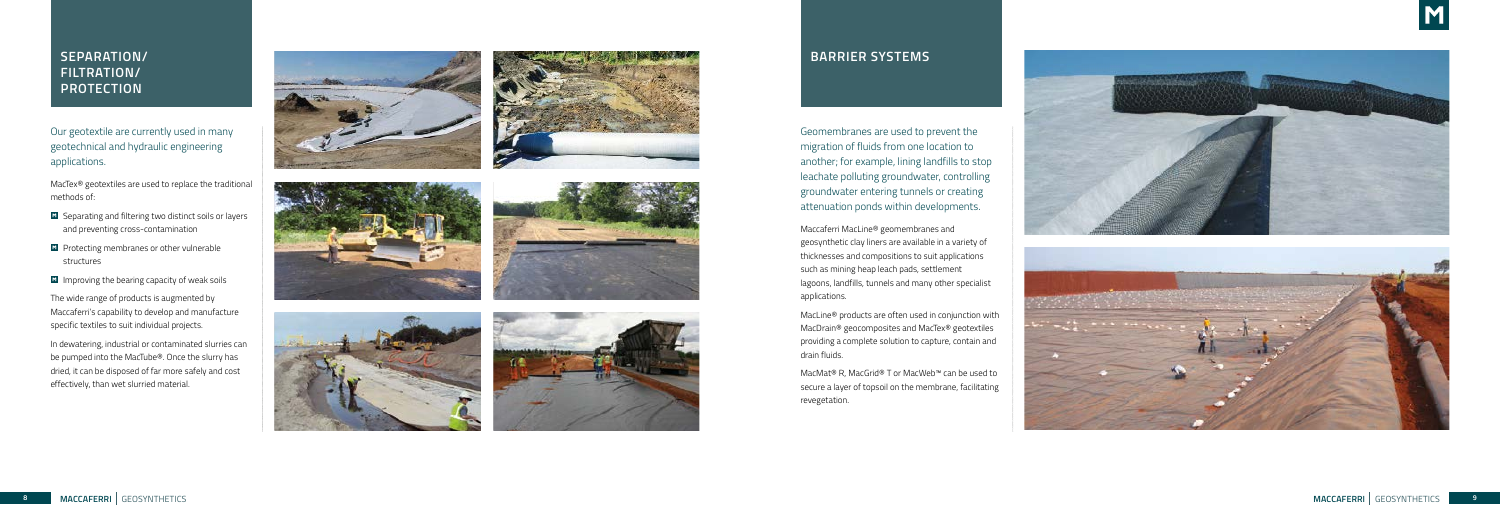## **SEPARATION/ FILTRATION/ PROTECTION**

Our geotextile are currently used in many geotechnical and hydraulic engineering applications.

MacTex® geotextiles are used to replace the traditional methods of:

- **E** Separating and filtering two distinct soils or layers and preventing cross-contamination
- **Protecting membranes or other vulnerable** structures
- $\blacksquare$  Improving the bearing capacity of weak soils

The wide range of products is augmented by Maccaferri's capability to develop and manufacture specific textiles to suit individual projects.

In dewatering, industrial or contaminated slurries can be pumped into the MacTube®. Once the slurry has dried, it can be disposed of far more safely and cost effectively, than wet slurried material.













Geomembranes are used to prevent the migration of fluids from one location to another; for example, lining landfills to stop leachate polluting groundwater, controlling groundwater entering tunnels or creating attenuation ponds within developments.

Maccaferri MacLine® geomembranes and geosynthetic clay liners are available in a variety of thicknesses and compositions to suit applications such as mining heap leach pads, settlement lagoons, landfills, tunnels and many other specialist applications.

MacLine® products are often used in conjunction with MacDrain® geocomposites and MacTex® geotextiles providing a complete solution to capture, contain and drain fluids.

MacMat® R, MacGrid® T or MacWeb™ can be used to secure a layer of topsoil on the membrane, facilitating revegetation.





## **BARRIER SYSTEMS**